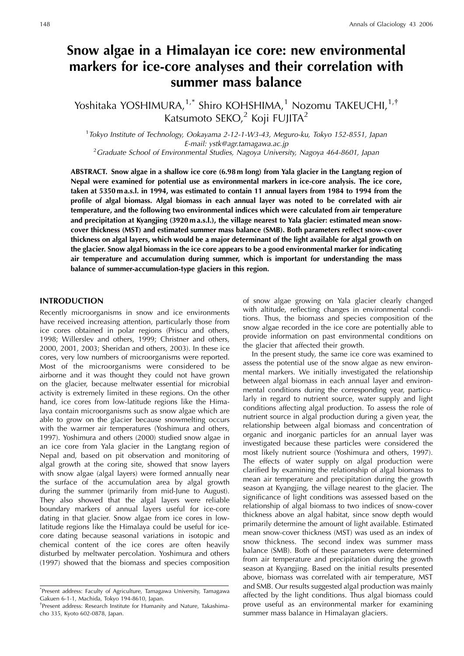# **Snow algae in a Himalayan ice core: new environmental markers for ice-core analyses and their correlation with summer mass balance**

Yoshitaka YOSHIMURA,<sup>1,\*</sup> Shiro KOHSHIMA,<sup>1</sup> Nozomu TAKEUCHI,<sup>1,†</sup> Katsumoto SEKO,<sup>2</sup> Koji FUJITA<sup>2</sup>

<sup>1</sup>Tokyo Institute of Technology, Ookayama 2-12-1-W3-43, Meguro-ku, Tokyo 152-8551, Japan E-mail: ystk@agr.tamagawa.ac.jp <sup>2</sup> Graduate School of Environmental Studies, Nagoya University, Nagoya 464-8601, Japan

**ABSTRACT. Snow algae in a shallow ice core (6.98 m long) from Yala glacier in the Langtang region of Nepal were examined for potential use as environmental markers in ice-core analysis. The ice core, taken at 5350 m a.s.l. in 1994, was estimated to contain 11 annual layers from 1984 to 1994 from the profile of algal biomass. Algal biomass in each annual layer was noted to be correlated with air temperature, and the following two environmental indices which were calculated from air temperature and precipitation at Kyangjing (3920 m a.s.l.), the village nearest to Yala glacier: estimated mean snowcover thickness (MST) and estimated summer mass balance (SMB). Both parameters reflect snow-cover thickness on algal layers, which would be a major determinant of the light available for algal growth on the glacier. Snow algal biomass in the ice core appears to be a good environmental marker for indicating air temperature and accumulation during summer, which is important for understanding the mass balance of summer-accumulation-type glaciers in this region.**

#### **INTRODUCTION**

Recently microorganisms in snow and ice environments have received increasing attention, particularly those from ice cores obtained in polar regions (Priscu and others, 1998; Willerslev and others, 1999; Christner and others, 2000, 2001, 2003; Sheridan and others, 2003). In these ice cores, very low numbers of microorganisms were reported. Most of the microorganisms were considered to be airborne and it was thought they could not have grown on the glacier, because meltwater essential for microbial activity is extremely limited in these regions. On the other hand, ice cores from low-latitude regions like the Himalaya contain microorganisms such as snow algae which are able to grow on the glacier because snowmelting occurs with the warmer air temperatures (Yoshimura and others, 1997). Yoshimura and others (2000) studied snow algae in an ice core from Yala glacier in the Langtang region of Nepal and, based on pit observation and monitoring of algal growth at the coring site, showed that snow layers with snow algae (algal layers) were formed annually near the surface of the accumulation area by algal growth during the summer (primarily from mid-June to August). They also showed that the algal layers were reliable boundary markers of annual layers useful for ice-core dating in that glacier. Snow algae from ice cores in lowlatitude regions like the Himalaya could be useful for icecore dating because seasonal variations in isotopic and chemical content of the ice cores are often heavily disturbed by meltwater percolation. Yoshimura and others (1997) showed that the biomass and species composition of snow algae growing on Yala glacier clearly changed with altitude, reflecting changes in environmental conditions. Thus, the biomass and species composition of the snow algae recorded in the ice core are potentially able to provide information on past environmental conditions on the glacier that affected their growth.

In the present study, the same ice core was examined to assess the potential use of the snow algae as new environmental markers. We initially investigated the relationship between algal biomass in each annual layer and environmental conditions during the corresponding year, particularly in regard to nutrient source, water supply and light conditions affecting algal production. To assess the role of nutrient source in algal production during a given year, the relationship between algal biomass and concentration of organic and inorganic particles for an annual layer was investigated because these particles were considered the most likely nutrient source (Yoshimura and others, 1997). The effects of water supply on algal production were clarified by examining the relationship of algal biomass to mean air temperature and precipitation during the growth season at Kyangjing, the village nearest to the glacier. The significance of light conditions was assessed based on the relationship of algal biomass to two indices of snow-cover thickness above an algal habitat, since snow depth would primarily determine the amount of light available. Estimated mean snow-cover thickness (MST) was used as an index of snow thickness. The second index was summer mass balance (SMB). Both of these parameters were determined from air temperature and precipitation during the growth season at Kyangjing. Based on the initial results presented above, biomass was correlated with air temperature, MST and SMB. Our results suggested algal production was mainly affected by the light conditions. Thus algal biomass could prove useful as an environmental marker for examining summer mass balance in Himalayan glaciers.

<sup>\*</sup> Present address: Faculty of Agriculture, Tamagawa University, Tamagawa Gakuen 6-1-1, Machida, Tokyo 194-8610, Japan.

<sup>&</sup>lt;sup>†</sup>Present address: Research Institute for Humanity and Nature, Takashimacho 335, Kyoto 602-0878, Japan.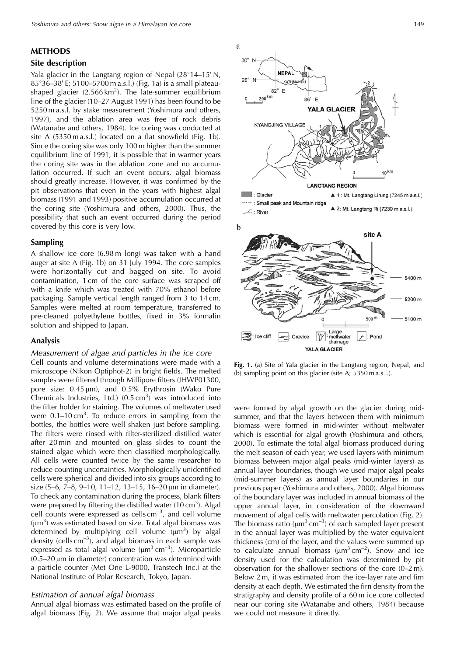## **METHODS**

## **Site description**

Yala glacier in the Langtang region of Nepal  $(28°14–15'N,$  $85^{\circ}36-38'$  E; 5100-5700 m a.s.l.) (Fig. 1a) is a small plateaushaped glacier  $(2.566 \text{ km}^2)$ . The late-summer equilibrium line of the glacier (10–27 August 1991) has been found to be 5250 m a.s.l. by stake measurement (Yoshimura and others, 1997), and the ablation area was free of rock debris (Watanabe and others, 1984). Ice coring was conducted at site A (5350 m a.s.l.) located on a flat snowfield (Fig. 1b). Since the coring site was only 100 m higher than the summer equilibrium line of 1991, it is possible that in warmer years the coring site was in the ablation zone and no accumulation occurred. If such an event occurs, algal biomass should greatly increase. However, it was confirmed by the pit observations that even in the years with highest algal biomass (1991 and 1993) positive accumulation occurred at the coring site (Yoshimura and others, 2000). Thus, the possibility that such an event occurred during the period covered by this core is very low.

#### **Sampling**

A shallow ice core (6.98 m long) was taken with a hand auger at site A (Fig. 1b) on 31 July 1994. The core samples were horizontally cut and bagged on site. To avoid contamination, 1 cm of the core surface was scraped off with a knife which was treated with 70% ethanol before packaging. Sample vertical length ranged from 3 to 14 cm. Samples were melted at room temperature, transferred to pre-cleaned polyethylene bottles, fixed in 3% formalin solution and shipped to Japan.

#### **Analysis**

#### Measurement of algae and particles in the ice core

Cell counts and volume determinations were made with a microscope (Nikon Optiphot-2) in bright fields. The melted samples were filtered through Millipore filters (JHWP01300, pore size: 0.45 um), and 0.5% Erythrosin (Wako Pure Chemicals Industries, Ltd.)  $(0.5 \text{ cm}^3)$  was introduced into the filter holder for staining. The volumes of meltwater used were  $0.1-10 \text{ cm}^3$ . To reduce errors in sampling from the bottles, the bottles were well shaken just before sampling. The filters were rinsed with filter-sterilized distilled water after 20 min and mounted on glass slides to count the stained algae which were then classified morphologically. All cells were counted twice by the same researcher to reduce counting uncertainties. Morphologically unidentified cells were spherical and divided into six groups according to size  $(5-6, 7-8, 9-10, 11-12, 13-15, 16-20 \,\mu m)$  in diameter). To check any contamination during the process, blank filters were prepared by filtering the distilled water (10 cm<sup>3</sup>). Algal cell counts were expressed as cells  $cm^{-3}$ , and cell volume  $(\mu m^3)$  was estimated based on size. Total algal biomass was determined by multiplying cell volume  $\mu m^3$ ) by algal density (cells  $cm^{-3}$ ), and algal biomass in each sample was expressed as total algal volume  $(\mu m^3 \text{ cm}^{-3})$ . Microparticle  $(0.5-20 \,\mu m)$  in diameter) concentration was determined with a particle counter (Met One L-9000, Transtech Inc.) at the National Institute of Polar Research, Tokyo, Japan.

#### Estimation of annual algal biomass

Annual algal biomass was estimated based on the profile of algal biomass (Fig. 2). We assume that major algal peaks





**Fig. 1.** (a) Site of Yala glacier in the Langtang region, Nepal, and (b) sampling point on this glacier (site A; 5350 m a.s.l.).

were formed by algal growth on the glacier during midsummer, and that the layers between them with minimum biomass were formed in mid-winter without meltwater which is essential for algal growth (Yoshimura and others, 2000). To estimate the total algal biomass produced during the melt season of each year, we used layers with minimum biomass between major algal peaks (mid-winter layers) as annual layer boundaries, though we used major algal peaks (mid-summer layers) as annual layer boundaries in our previous paper (Yoshimura and others, 2000). Algal biomass of the boundary layer was included in annual biomass of the upper annual layer, in consideration of the downward movement of algal cells with meltwater percolation (Fig. 2). The biomass ratio ( $\mu$ m<sup>3</sup> cm<sup>-3</sup>) of each sampled layer present in the annual layer was multiplied by the water equivalent thickness (cm) of the layer, and the values were summed up to calculate annual biomass  $(\mu m^3 \text{ cm}^{-2})$ . Snow and ice density used for the calculation was determined by pit observation for the shallower sections of the core (0–2 m). Below 2 m, it was estimated from the ice-layer rate and firn density at each depth. We estimated the firn density from the stratigraphy and density profile of a 60 m ice core collected near our coring site (Watanabe and others, 1984) because we could not measure it directly.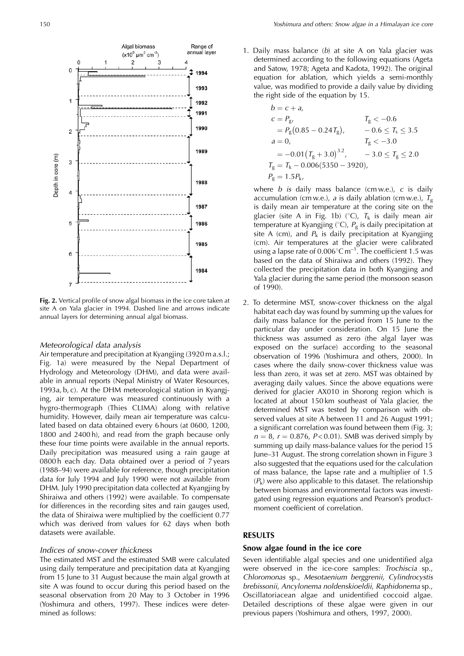

**Fig. 2.** Vertical profile of snow algal biomass in the ice core taken at site A on Yala glacier in 1994. Dashed line and arrows indicate annual layers for determining annual algal biomass.

#### Meteorological data analysis

Air temperature and precipitation at Kyangjing (3920 m a.s.l.; Fig. 1a) were measured by the Nepal Department of Hydrology and Meteorology (DHM), and data were available in annual reports (Nepal Ministry of Water Resources, 1993a, b, c). At the DHM meteorological station in Kyangjing, air temperature was measured continuously with a hygro-thermograph (Thies CLIMA) along with relative humidity. However, daily mean air temperature was calculated based on data obtained every 6 hours (at 0600, 1200, 1800 and 2400 h), and read from the graph because only these four time points were available in the annual reports. Daily precipitation was measured using a rain gauge at 0800 h each day. Data obtained over a period of 7 years (1988–94) were available for reference, though precipitation data for July 1994 and July 1990 were not available from DHM. July 1990 precipitation data collected at Kyangjing by Shiraiwa and others (1992) were available. To compensate for differences in the recording sites and rain gauges used, the data of Shiraiwa were multiplied by the coefficient 0.77 which was derived from values for 62 days when both datasets were available.

## Indices of snow-cover thickness

The estimated MST and the estimated SMB were calculated using daily temperature and precipitation data at Kyangjing from 15 June to 31 August because the main algal growth at site A was found to occur during this period based on the seasonal observation from 20 May to 3 October in 1996 (Yoshimura and others, 1997). These indices were determined as follows:

1. Daily mass balance  $(b)$  at site A on Yala glacier was determined according to the following equations (Ageta and Satow, 1978; Ageta and Kadota, 1992). The original equation for ablation, which yields a semi-monthly value, was modified to provide a daily value by dividing the right side of the equation by 15.

$$
b = c + a,
$$
  
\n
$$
c = P_g,
$$
  
\n
$$
T_g < -0.6
$$
  
\n
$$
= P_g(0.85 - 0.24T_g),
$$
  
\n
$$
T_g < -0.6
$$
  
\n
$$
-0.6 \le T_s \le 3.5
$$
  
\n
$$
a = 0,
$$
  
\n
$$
T_g < -3.0
$$
  
\n
$$
T_g < -3.0
$$
  
\n
$$
T_g < -3.0
$$
  
\n
$$
T_g \le 2.0
$$
  
\n
$$
T_g = T_k - 0.006(5350 - 3920),
$$
  
\n
$$
P_g = 1.5P_k,
$$

where  $b$  is daily mass balance (cm w.e.),  $c$  is daily accumulation (cm w.e.), a is daily ablation (cm w.e.),  $T_{\rm g}$ is daily mean air temperature at the coring site on the glacier (site A in Fig. 1b) (°C),  $T_k$  is daily mean air temperature at Kyangjing (°C),  $P_g$  is daily precipitation at site A (cm), and  $P_k$  is daily precipitation at Kyangjing (cm). Air temperatures at the glacier were calibrated using a lapse rate of  $0.006^{\circ}$ C m<sup>-1</sup>. The coefficient 1.5 was based on the data of Shiraiwa and others (1992). They collected the precipitation data in both Kyangjing and Yala glacier during the same period (the monsoon season of 1990).

2. To determine MST, snow-cover thickness on the algal habitat each day was found by summing up the values for daily mass balance for the period from 15 June to the particular day under consideration. On 15 June the thickness was assumed as zero (the algal layer was exposed on the surface) according to the seasonal observation of 1996 (Yoshimura and others, 2000). In cases where the daily snow-cover thickness value was less than zero, it was set at zero. MST was obtained by averaging daily values. Since the above equations were derived for glacier AX010 in Shorong region which is located at about 150 km southeast of Yala glacier, the determined MST was tested by comparison with observed values at site A between 11 and 26 August 1991; a significant correlation was found between them (Fig. 3;  $n = 8$ ,  $r = 0.876$ ,  $P < 0.01$ ). SMB was derived simply by summing up daily mass-balance values for the period 15 June–31 August. The strong correlation shown in Figure 3 also suggested that the equations used for the calculation of mass balance, the lapse rate and a multiplier of 1.5  $(P_k)$  were also applicable to this dataset. The relationship between biomass and environmental factors was investigated using regression equations and Pearson's productmoment coefficient of correlation.

#### **RESULTS**

#### **Snow algae found in the ice core**

Seven identifiable algal species and one unidentified alga were observed in the ice-core samples: Trochiscia sp., Chloromonas sp., Mesotaenium berggrenii, Cylindrocystis brebissonii, Ancylonema noldenskioeldii, Raphidonema sp., Oscillatoriacean algae and unidentified coccoid algae. Detailed descriptions of these algae were given in our previous papers (Yoshimura and others, 1997, 2000).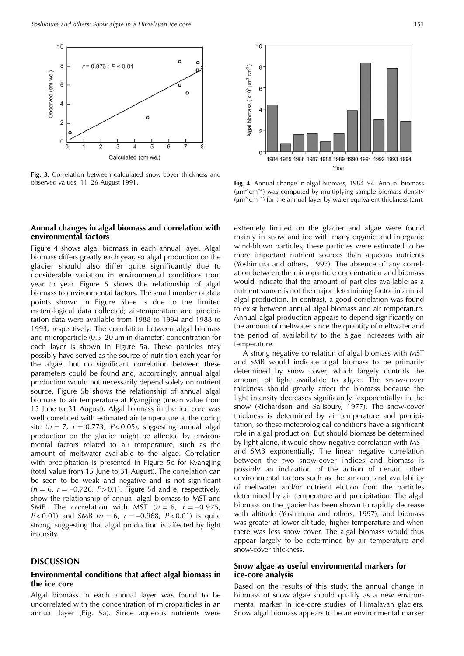

**Fig. 3.** Correlation between calculated snow-cover thickness and observed values, 11–26 August 1991.

# **Annual changes in algal biomass and correlation with environmental factors**

Figure 4 shows algal biomass in each annual layer. Algal biomass differs greatly each year, so algal production on the glacier should also differ quite significantly due to considerable variation in environmental conditions from year to year. Figure 5 shows the relationship of algal biomass to environmental factors. The small number of data points shown in Figure 5b–e is due to the limited meterological data collected; air-temperature and precipitation data were available from 1988 to 1994 and 1988 to 1993, respectively. The correlation between algal biomass and microparticle  $(0.5-20 \,\mu m)$  in diameter) concentration for each layer is shown in Figure 5a. These particles may possibly have served as the source of nutrition each year for the algae, but no significant correlation between these parameters could be found and, accordingly, annual algal production would not necessarily depend solely on nutrient source. Figure 5b shows the relationship of annual algal biomass to air temperature at Kyangjing (mean value from 15 June to 31 August). Algal biomass in the ice core was well correlated with estimated air temperature at the coring site ( $n = 7$ ,  $r = 0.773$ ,  $P < 0.05$ ), suggesting annual algal production on the glacier might be affected by environmental factors related to air temperature, such as the amount of meltwater available to the algae. Correlation with precipitation is presented in Figure 5c for Kyangjing (total value from 15 June to 31 August). The correlation can be seen to be weak and negative and is not significant  $(n = 6, r = -0.726, P > 0.1)$ . Figure 5d and e, respectively, show the relationship of annual algal biomass to MST and SMB. The correlation with MST ( $n = 6$ ,  $r = -0.975$ ,  $P < 0.01$ ) and SMB ( $n = 6$ ,  $r = -0.968$ ,  $P < 0.01$ ) is quite strong, suggesting that algal production is affected by light intensity.

## **DISCUSSION**

## **Environmental conditions that affect algal biomass in the ice core**

Algal biomass in each annual layer was found to be uncorrelated with the concentration of microparticles in an annual layer (Fig. 5a). Since aqueous nutrients were



**Fig. 4.** Annual change in algal biomass, 1984–94. Annual biomass  $(\mu m^3 \text{ cm}^{-2})$  was computed by multiplying sample biomass density  $(\mu m^3 \text{ cm}^{-3})$  for the annual layer by water equivalent thickness (cm).

extremely limited on the glacier and algae were found mainly in snow and ice with many organic and inorganic wind-blown particles, these particles were estimated to be more important nutrient sources than aqueous nutrients (Yoshimura and others, 1997). The absence of any correlation between the microparticle concentration and biomass would indicate that the amount of particles available as a nutrient source is not the major determining factor in annual algal production. In contrast, a good correlation was found to exist between annual algal biomass and air temperature. Annual algal production appears to depend significantly on the amount of meltwater since the quantity of meltwater and the period of availability to the algae increases with air temperature.

A strong negative correlation of algal biomass with MST and SMB would indicate algal biomass to be primarily determined by snow cover, which largely controls the amount of light available to algae. The snow-cover thickness should greatly affect the biomass because the light intensity decreases significantly (exponentially) in the snow (Richardson and Salisbury, 1977). The snow-cover thickness is determined by air temperature and precipitation, so these meteorological conditions have a significant role in algal production. But should biomass be determined by light alone, it would show negative correlation with MST and SMB exponentially. The linear negative correlation between the two snow-cover indices and biomass is possibly an indication of the action of certain other environmental factors such as the amount and availability of meltwater and/or nutrient elution from the particles determined by air temperature and precipitation. The algal biomass on the glacier has been shown to rapidly decrease with altitude (Yoshimura and others, 1997), and biomass was greater at lower altitude, higher temperature and when there was less snow cover. The algal biomass would thus appear largely to be determined by air temperature and snow-cover thickness.

# **Snow algae as useful environmental markers for ice-core analysis**

Based on the results of this study, the annual change in biomass of snow algae should qualify as a new environmental marker in ice-core studies of Himalayan glaciers. Snow algal biomass appears to be an environmental marker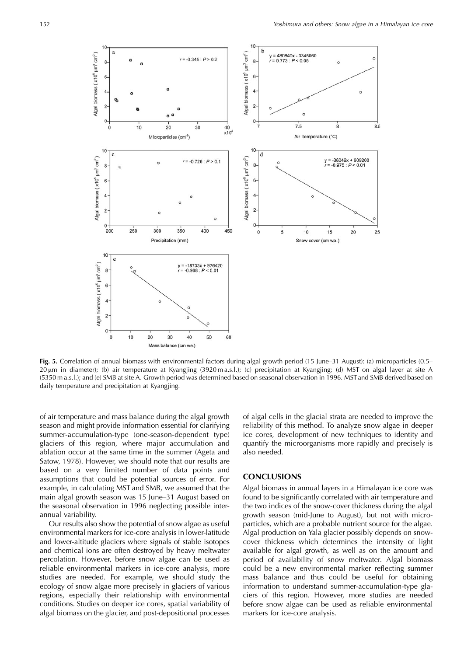

**Fig. 5.** Correlation of annual biomass with environmental factors during algal growth period (15 June–31 August): (a) microparticles (0.5– 20 mm in diameter); (b) air temperature at Kyangjing (3920 m a.s.l.); (c) precipitation at Kyangjing; (d) MST on algal layer at site A (5350 m a.s.l.); and (e) SMB at site A. Growth period was determined based on seasonal observation in 1996. MST and SMB derived based on daily temperature and precipitation at Kyangjing.

of air temperature and mass balance during the algal growth season and might provide information essential for clarifying summer-accumulation-type (one-season-dependent type) glaciers of this region, where major accumulation and ablation occur at the same time in the summer (Ageta and Satow, 1978). However, we should note that our results are based on a very limited number of data points and assumptions that could be potential sources of error. For example, in calculating MST and SMB, we assumed that the main algal growth season was 15 June–31 August based on the seasonal observation in 1996 neglecting possible interannual variability.

Our results also show the potential of snow algae as useful environmental markers for ice-core analysis in lower-latitude and lower-altitude glaciers where signals of stable isotopes and chemical ions are often destroyed by heavy meltwater percolation. However, before snow algae can be used as reliable environmental markers in ice-core analysis, more studies are needed. For example, we should study the ecology of snow algae more precisely in glaciers of various regions, especially their relationship with environmental conditions. Studies on deeper ice cores, spatial variability of algal biomass on the glacier, and post-depositional processes

of algal cells in the glacial strata are needed to improve the reliability of this method. To analyze snow algae in deeper ice cores, development of new techniques to identity and quantify the microorganisms more rapidly and precisely is also needed.

## **CONCLUSIONS**

Algal biomass in annual layers in a Himalayan ice core was found to be significantly correlated with air temperature and the two indices of the snow-cover thickness during the algal growth season (mid-June to August), but not with microparticles, which are a probable nutrient source for the algae. Algal production on Yala glacier possibly depends on snowcover thickness which determines the intensity of light available for algal growth, as well as on the amount and period of availability of snow meltwater. Algal biomass could be a new environmental marker reflecting summer mass balance and thus could be useful for obtaining information to understand summer-accumulation-type glaciers of this region. However, more studies are needed before snow algae can be used as reliable environmental markers for ice-core analysis.